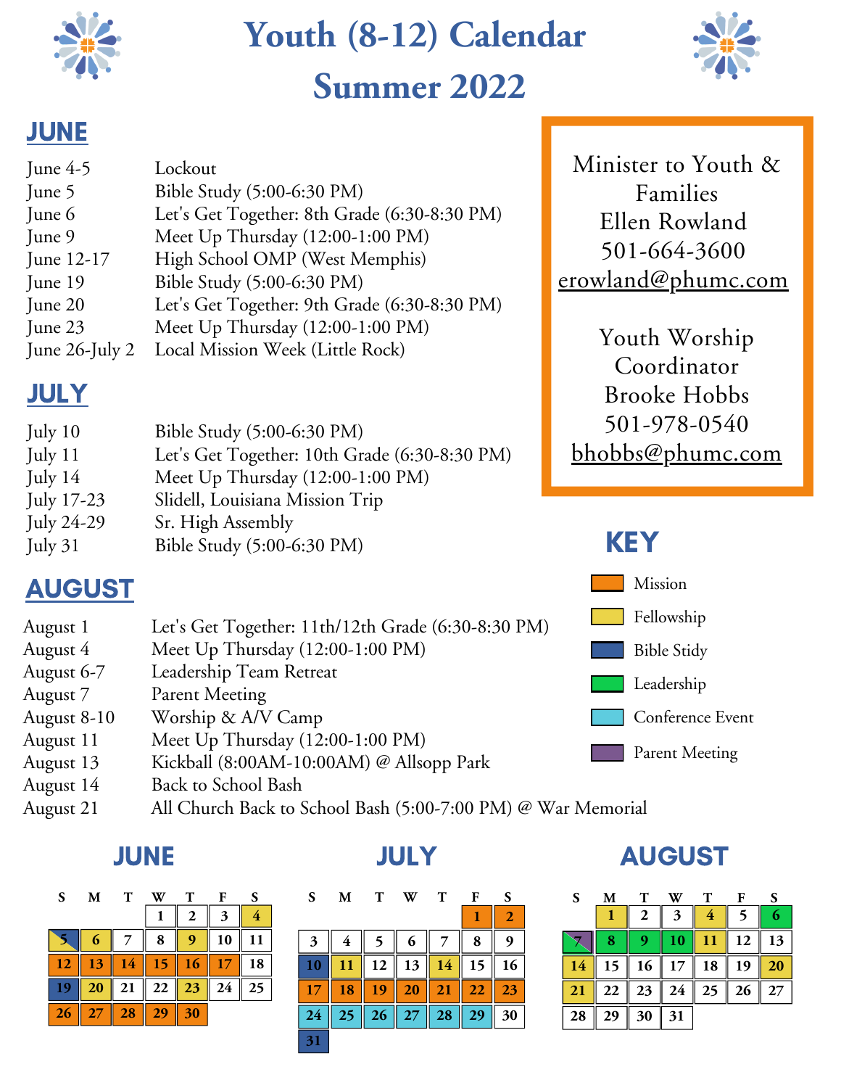

# **Youth (8-12) Calendar Summer 2022**



## **JUNE**

| June $4-5$          | Lockout                                      |
|---------------------|----------------------------------------------|
| June 5              | Bible Study (5:00-6:30 PM)                   |
| June 6              | Let's Get Together: 8th Grade (6:30-8:30 PM) |
| June 9              | Meet Up Thursday (12:00-1:00 PM)             |
| June 12-17          | High School OMP (West Memphis)               |
| June 19             | Bible Study (5:00-6:30 PM)                   |
| June 20             | Let's Get Together: 9th Grade (6:30-8:30 PM) |
| June 23             | Meet Up Thursday (12:00-1:00 PM)             |
| June $26$ -July $2$ | Local Mission Week (Little Rock)             |

# **JULY**

| July $10$         | Bible Study (5:00-6:30 PM)                    |
|-------------------|-----------------------------------------------|
| July 11           | Let's Get Together: 10th Grade (6:30-8:30 PM) |
| July $14$         | Meet Up Thursday (12:00-1:00 PM)              |
| <b>July 17-23</b> | Slidell, Louisiana Mission Trip               |
| July 24-29        | Sr. High Assembly                             |
| July $31$         | Bible Study (5:00-6:30 PM)                    |

# AUGUST

- August 1 Let's Get Together: 11th/12th Grade (6:30-8:30 PM)
- August 4 Meet Up Thursday (12:00-1:00 PM)
- August 6-7 Leadership Team Retreat
- August 7 Parent Meeting
- August 8-10 Worship & A/V Camp
- August 11 Meet Up Thursday (12:00-1:00 PM)
- August 13 Kickball (8:00AM-10:00AM) @ Allsopp Park
- August 14 Back to School Bash
- August 21 All Church Back to School Bash (5:00-7:00 PM) @ War Memorial

### JUNE

| S  | M  | т  |    | т  | F  | S  |
|----|----|----|----|----|----|----|
|    |    |    |    | 2  | 3  |    |
|    |    |    | 8  |    | 10 |    |
| 12 | 13 | 14 | 15 | 16 |    | 18 |
|    | 20 | 21 | 22 | 23 | 24 | 25 |
| 26 | 27 | 28 | 29 | 30 |    |    |
|    |    |    |    |    |    |    |

| S.                 | M  | T  | W  | $\bf{T}$ | $\mathbf{F}$ | <b>S</b>       | S. | M  | $\mathbf T$ | W         | $\mathbf T$ | $\mathbf{F}$ |                |                |
|--------------------|----|----|----|----------|--------------|----------------|----|----|-------------|-----------|-------------|--------------|----------------|----------------|
|                    |    |    | 1  | 2        | 3            | $\overline{4}$ |    |    |             |           |             | п.           | $\overline{2}$ |                |
|                    | 6  |    | 8  | 9        | 10           | 11             | 3  | 4  | 5           | 6         |             | 8            | 9              |                |
| $\overline{2}$     | 13 | 14 | 15 | 16       | 17           | 18             |    |    | 12          | 13        | 14          |              | 16             | $\overline{1}$ |
| $\vert \mathbf{9}$ | 20 | 21 | 22 | 23       | 24           | 25             | 17 | 18 | 19          | 20        | 21          | 22           | 23             | $\overline{2}$ |
| 26                 |    | 28 | 29 | 30       |              |                | 24 | 25 | 26          | <b>27</b> | <b>28</b>   | 29           | 30             | 28             |
|                    |    |    |    |          |              |                | 31 |    |             |           |             |              |                |                |

### JULY AUGUST

| S                | M  | T  |    | т  | F  | S  |
|------------------|----|----|----|----|----|----|
|                  |    | 2  | 3  | 4  |    |    |
|                  | 8  |    | 10 | 11 | 12 | 13 |
| 14               | 15 | 16 | 17 | 18 | 19 | 20 |
| $\vert 21 \vert$ | 22 | 23 | 24 | 25 | 26 | 27 |
| 28               | 29 | 30 | 31 |    |    |    |

Minister to Youth & Families Ellen Rowland 501-664-3600 erowland@phumc.com

Youth Worship Coordinator Brooke Hobbs 501-978-0540 bhobbs@phumc.com

### KEY